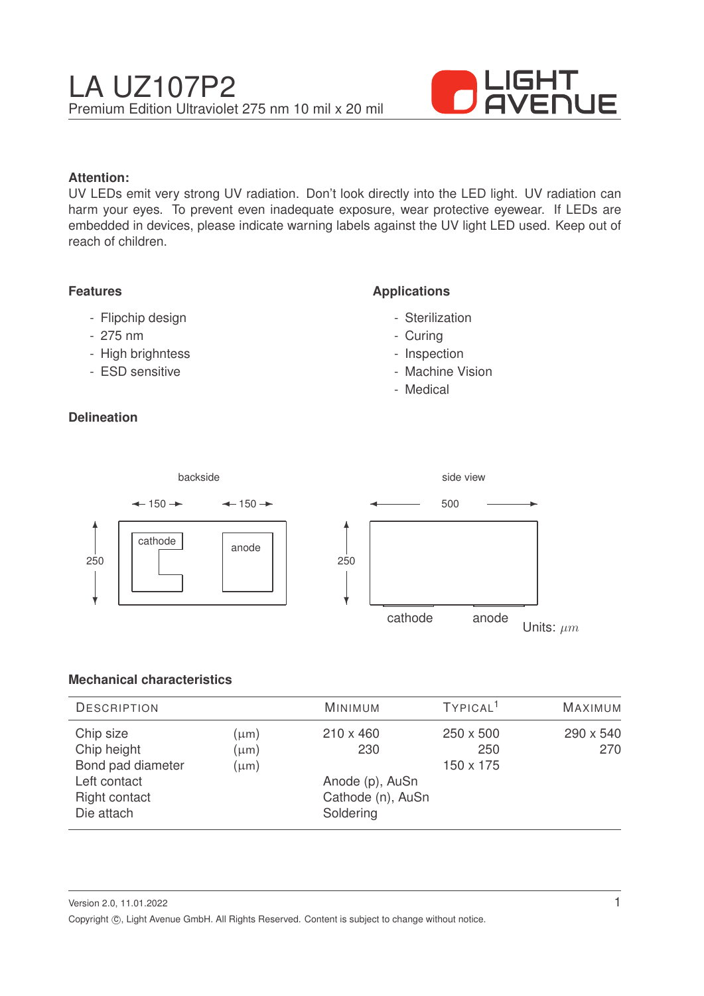

## **Attention:**

UV LEDs emit very strong UV radiation. Don't look directly into the LED light. UV radiation can harm your eyes. To prevent even inadequate exposure, wear protective eyewear. If LEDs are embedded in devices, please indicate warning labels against the UV light LED used. Keep out of reach of children.

### **Features**

- Flipchip design
- 275 nm
- High brighntess
- ESD sensitive

# **Delineation**

## **Applications**

- Sterilization
- Curing
- Inspection
- Machine Vision
- Medical



# **Mechanical characteristics**

| <b>DESCRIPTION</b>                                                                           |                                     | <b>MINIMUM</b>                                                               | TYPICAL <sup>1</sup>          | MAXIMUM          |
|----------------------------------------------------------------------------------------------|-------------------------------------|------------------------------------------------------------------------------|-------------------------------|------------------|
| Chip size<br>Chip height<br>Bond pad diameter<br>Left contact<br>Right contact<br>Die attach | $(\mu m)$<br>$(\mu m)$<br>$(\mu m)$ | $210 \times 460$<br>230<br>Anode (p), AuSn<br>Cathode (n), AuSn<br>Soldering | 250 x 500<br>250<br>150 x 175 | 290 x 540<br>270 |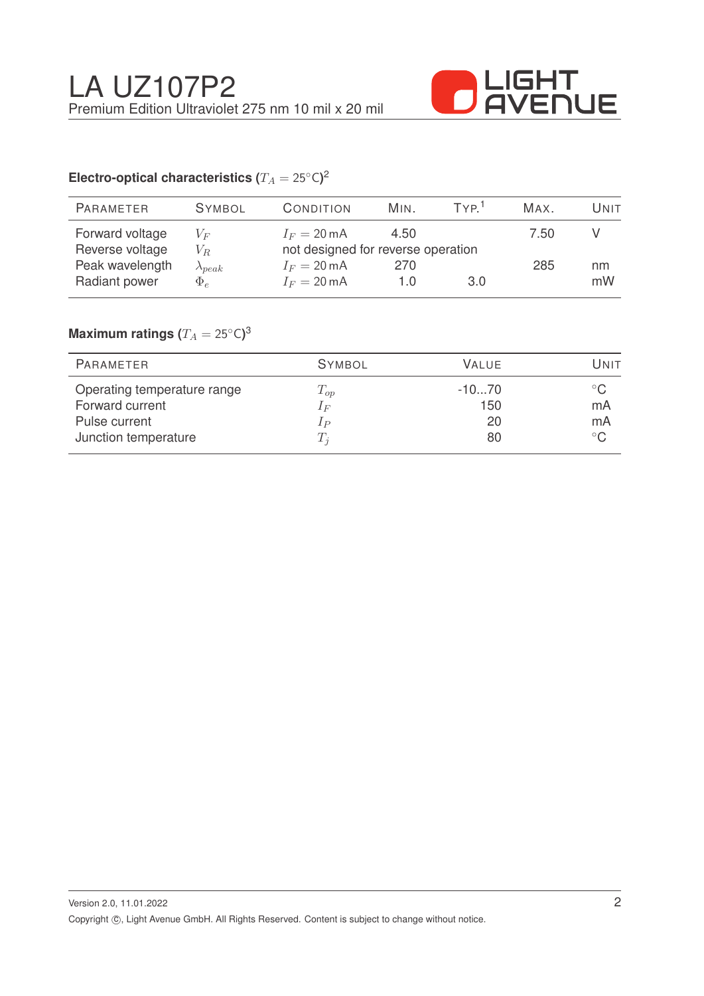

# Electro-optical characteristics ( $T_A = 25^{\circ} \text{C}$ )<sup>2</sup>

| PARAMETER       | <b>SYMBOL</b>    | <b>CONDITION</b>                   | MIN. | TVP <sup>1</sup> | MAX. | Unit |
|-----------------|------------------|------------------------------------|------|------------------|------|------|
| Forward voltage | $V_F$            | $I_F = 20 \text{ mA}$              | 4.50 |                  | 7.50 |      |
| Reverse voltage | $V_R$            | not designed for reverse operation |      |                  |      |      |
| Peak wavelength | $\lambda_{peak}$ | $I_F = 20 \text{ mA}$              | 270  |                  | 285  | nm   |
| Radiant power   | $\Phi_e$         | $I_F = 20 \text{ mA}$              | 1.0  | 3.0              |      | mW   |

# $\mathsf{Maximum}$  ratings  $(T_A = 25^{\circ} \mathsf{C})^3$

| PARAMETER                   | <b>SYMBOL</b> | VALUE.  | Unit         |
|-----------------------------|---------------|---------|--------------|
| Operating temperature range | $T_{op}$      | $-1070$ | $^{\circ}$ C |
| Forward current             | $1_F$         | 150     | mA           |
| Pulse current               | $_{IP}$       | 20      | mA           |
| Junction temperature        | $T_i$         | 80      | $^{\circ}$ C |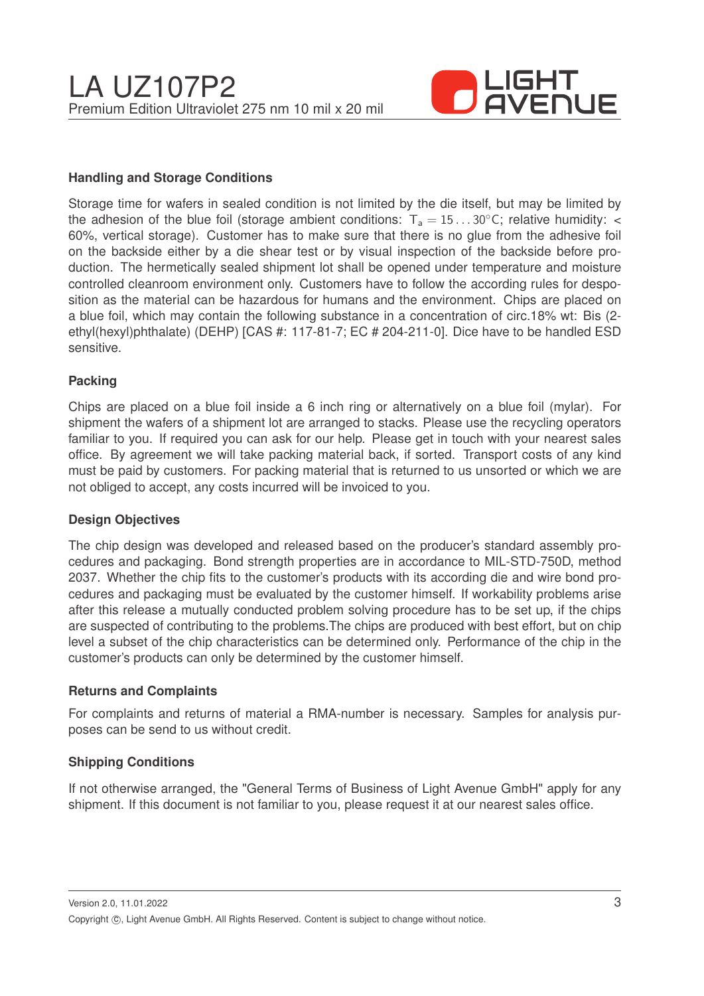

### **Handling and Storage Conditions**

Storage time for wafers in sealed condition is not limited by the die itself, but may be limited by the adhesion of the blue foil (storage ambient conditions:  $T_a = 15...30^{\circ}$ C; relative humidity: < 60%, vertical storage). Customer has to make sure that there is no glue from the adhesive foil on the backside either by a die shear test or by visual inspection of the backside before production. The hermetically sealed shipment lot shall be opened under temperature and moisture controlled cleanroom environment only. Customers have to follow the according rules for desposition as the material can be hazardous for humans and the environment. Chips are placed on a blue foil, which may contain the following substance in a concentration of circ.18% wt: Bis (2 ethyl(hexyl)phthalate) (DEHP) [CAS #: 117-81-7; EC # 204-211-0]. Dice have to be handled ESD sensitive.

#### **Packing**

Chips are placed on a blue foil inside a 6 inch ring or alternatively on a blue foil (mylar). For shipment the wafers of a shipment lot are arranged to stacks. Please use the recycling operators familiar to you. If required you can ask for our help. Please get in touch with your nearest sales office. By agreement we will take packing material back, if sorted. Transport costs of any kind must be paid by customers. For packing material that is returned to us unsorted or which we are not obliged to accept, any costs incurred will be invoiced to you.

#### **Design Objectives**

The chip design was developed and released based on the producer's standard assembly procedures and packaging. Bond strength properties are in accordance to MIL-STD-750D, method 2037. Whether the chip fits to the customer's products with its according die and wire bond procedures and packaging must be evaluated by the customer himself. If workability problems arise after this release a mutually conducted problem solving procedure has to be set up, if the chips are suspected of contributing to the problems.The chips are produced with best effort, but on chip level a subset of the chip characteristics can be determined only. Performance of the chip in the customer's products can only be determined by the customer himself.

#### **Returns and Complaints**

For complaints and returns of material a RMA-number is necessary. Samples for analysis purposes can be send to us without credit.

### **Shipping Conditions**

If not otherwise arranged, the "General Terms of Business of Light Avenue GmbH" apply for any shipment. If this document is not familiar to you, please request it at our nearest sales office.

Version 2.0, 11.01.2022 Copyright ©, Light Avenue GmbH. All Rights Reserved. Content is subject to change without notice.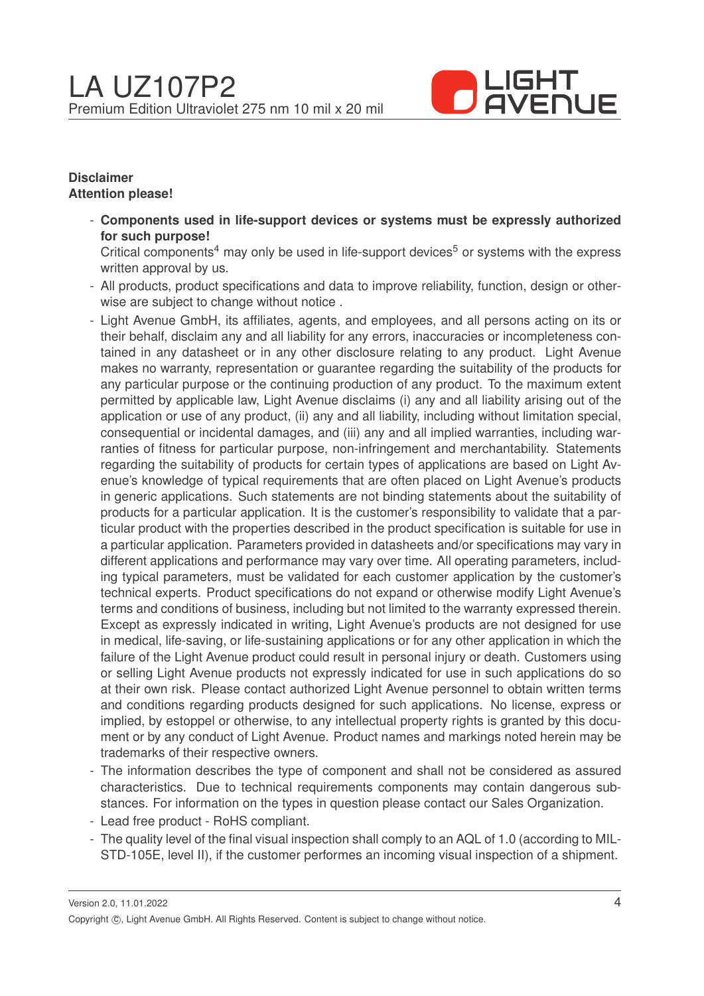

## **Disclaimer Attention please!**

- **Components used in life-support devices or systems must be expressly authorized for such purpose!**

Critical components<sup>4</sup> may only be used in life-support devices<sup>5</sup> or systems with the express written approval by us.

- All products, product specifications and data to improve reliability, function, design or otherwise are subject to change without notice .
- Light Avenue GmbH, its affiliates, agents, and employees, and all persons acting on its or their behalf, disclaim any and all liability for any errors, inaccuracies or incompleteness contained in any datasheet or in any other disclosure relating to any product. Light Avenue makes no warranty, representation or guarantee regarding the suitability of the products for any particular purpose or the continuing production of any product. To the maximum extent permitted by applicable law, Light Avenue disclaims (i) any and all liability arising out of the application or use of any product, (ii) any and all liability, including without limitation special, consequential or incidental damages, and (iii) any and all implied warranties, including warranties of fitness for particular purpose, non-infringement and merchantability. Statements regarding the suitability of products for certain types of applications are based on Light Avenue's knowledge of typical requirements that are often placed on Light Avenue's products in generic applications. Such statements are not binding statements about the suitability of products for a particular application. It is the customer's responsibility to validate that a particular product with the properties described in the product specification is suitable for use in a particular application. Parameters provided in datasheets and/or specifications may vary in different applications and performance may vary over time. All operating parameters, including typical parameters, must be validated for each customer application by the customer's technical experts. Product specifications do not expand or otherwise modify Light Avenue's terms and conditions of business, including but not limited to the warranty expressed therein. Except as expressly indicated in writing, Light Avenue's products are not designed for use in medical, life-saving, or life-sustaining applications or for any other application in which the failure of the Light Avenue product could result in personal injury or death. Customers using or selling Light Avenue products not expressly indicated for use in such applications do so at their own risk. Please contact authorized Light Avenue personnel to obtain written terms and conditions regarding products designed for such applications. No license, express or implied, by estoppel or otherwise, to any intellectual property rights is granted by this document or by any conduct of Light Avenue. Product names and markings noted herein may be trademarks of their respective owners.
- The information describes the type of component and shall not be considered as assured characteristics. Due to technical requirements components may contain dangerous substances. For information on the types in question please contact our Sales Organization.
- Lead free product RoHS compliant.
- The quality level of the final visual inspection shall comply to an AQL of 1.0 (according to MIL-STD-105E, level II), if the customer performes an incoming visual inspection of a shipment.